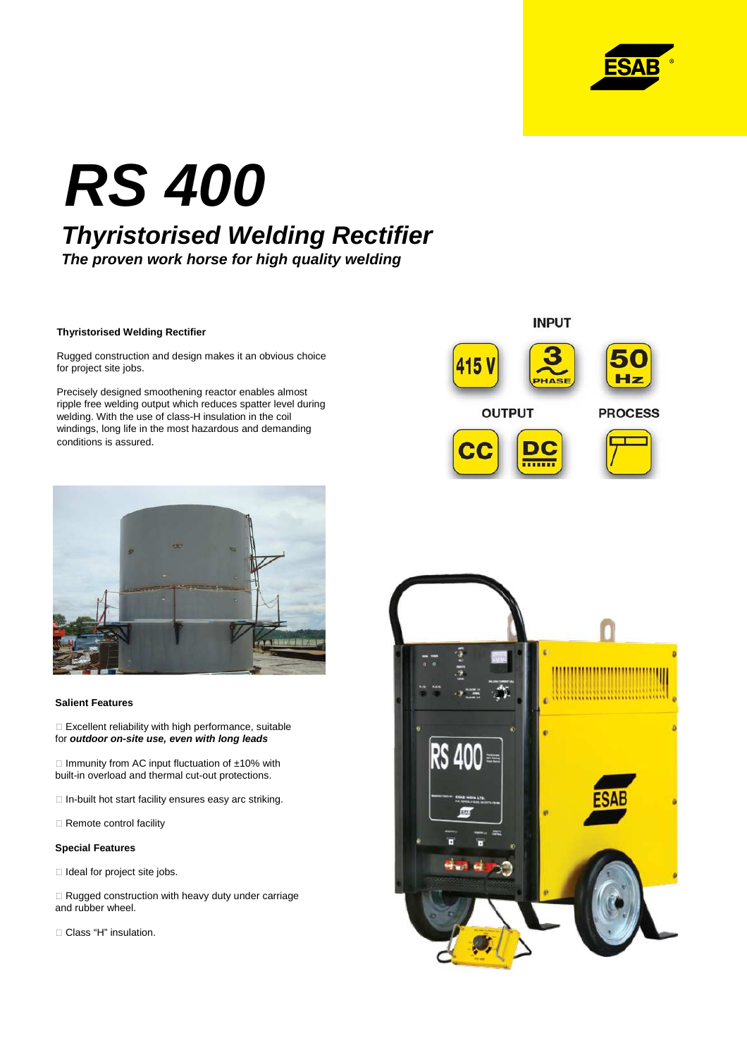

# **RS 400 Thyristorised Welding Rectifier**

**The proven work horse for high quality welding**

### **Thyristorised Welding Rectifier**

Rugged construction and design makes it an obvious choice for project site jobs.

Precisely designed smoothening reactor enables almost ripple free welding output which reduces spatter level during welding. With the use of class-H insulation in the coil windings, long life in the most hazardous and demanding conditions is assured.





# **Salient Features**

 Excellent reliability with high performance, suitable for **outdoor on-site use, even with long leads**

 Immunity from AC input fluctuation of ±10% with built-in overload and thermal cut-out protections.

In-built hot start facility ensures easy arc striking.

Remote control facility

## **Special Features**

Ideal for project site jobs.

 Rugged construction with heavy duty under carriage and rubber wheel.

Class "H" insulation.